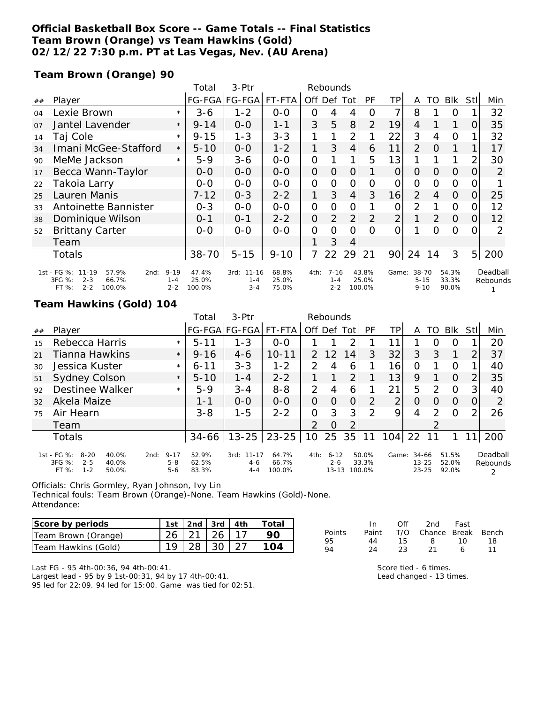## **Official Basketball Box Score -- Game Totals -- Final Statistics Team Brown (Orange) vs Team Hawkins (Gold) 02/12/22 7:30 p.m. PT at Las Vegas, Nev. (AU Arena)**

**Team Brown (Orange) 90**

|                |                                                                                                |                                | Total                    | 3-Ptr                                   | Rebounds                |                |                                |                |                          |                 |                               |          |                         |          |                      |
|----------------|------------------------------------------------------------------------------------------------|--------------------------------|--------------------------|-----------------------------------------|-------------------------|----------------|--------------------------------|----------------|--------------------------|-----------------|-------------------------------|----------|-------------------------|----------|----------------------|
| ##             | Player                                                                                         |                                |                          | FG-FGA FG-FGA FT-FTA                    |                         |                | Off Def Tot                    |                | <b>PF</b>                | ΤP              | A                             | TO       | Blk                     | Stll     | Min                  |
| 04             | Lexie Brown                                                                                    | $\star$                        | $3 - 6$                  | $1 - 2$                                 | $0 - 0$                 | 0              | 4                              | 4              | 0                        | 7               | 8                             |          | $\Omega$                |          | 32                   |
| O <sub>7</sub> | Jantel Lavender                                                                                | $\star$                        | $9 - 14$                 | $0 - 0$                                 | $1 - 1$                 | 3              | 5                              | 8              | 2                        | 19              | 4                             |          |                         | $\Omega$ | 35                   |
| 14             | Taj Cole                                                                                       | $\star$                        | $9 - 15$                 | 1-3                                     | $3 - 3$                 | 1              |                                | $\overline{2}$ |                          | 22              | 3                             | 4        | $\Omega$                |          | 32                   |
| 34             | Imani McGee-Stafford                                                                           | $\star$                        | $5 - 10$                 | $0 - 0$                                 | $1 - 2$                 | 1.             | 3                              | $\overline{4}$ | 6                        | 11              | $\overline{2}$                | $\Omega$ | 1                       |          | 17                   |
| 90             | MeMe Jackson                                                                                   | $\star$                        | $5 - 9$                  | $3 - 6$                                 | $0 - 0$                 | 0              |                                | 1              | 5                        | 13              |                               |          |                         | 2        | 30                   |
| 17             | Becca Wann-Taylor                                                                              |                                | $0-0$                    | $O-O$                                   | $O-O$                   | 0              | $\Omega$                       | $\Omega$       |                          | $\overline{O}$  | 0                             | $\Omega$ | $\Omega$                | O        | $\overline{2}$       |
| 22             | Takoia Larry                                                                                   |                                | $0-0$                    | $O-O$                                   | $0 - 0$                 | 0              | $\Omega$                       | 0              | Ω                        | O               | 0                             | 0        | $\Omega$                |          |                      |
| 25             | Lauren Manis                                                                                   |                                | $7 - 12$                 | $0 - 3$                                 | $2 - 2$                 | 1              | 3                              | $\overline{4}$ | 3                        | 16              | 2                             | 4        | $\Omega$                | 0        | 25                   |
| 33             | Antoinette Bannister                                                                           |                                | $0 - 3$                  | $0 - 0$                                 | $0-0$                   | $\overline{O}$ | O                              | $\mathcal{O}$  |                          | 0               | 2                             |          | $\Omega$                | 0        | 12                   |
| 38             | Dominique Wilson                                                                               |                                | $0 - 1$                  | $0 - 1$                                 | $2 - 2$                 | 0              | 2                              | $\overline{2}$ | $\mathcal{P}$            | $\overline{2}$  |                               | 2        | $\Omega$                | 0        | 12                   |
| 52             | <b>Brittany Carter</b>                                                                         |                                | $O-O$                    | $0 - 0$                                 | $0 - 0$                 | 0              | $\Omega$                       | $\Omega$       | 0                        | 0               |                               | 0        | $\Omega$                |          | $\mathcal{P}$        |
|                | Team                                                                                           |                                |                          |                                         |                         |                | 3                              | 4              |                          |                 |                               |          |                         |          |                      |
|                | Totals                                                                                         |                                | $38 - 70$                | $5 - 15$                                | $9 - 10$                |                | 22                             | 29             | 21                       | 90 <sub>1</sub> | 24                            | 14       | 3                       | 5        | 200                  |
|                | 1st - FG %: 11-19<br>57.9%<br>2nd:<br>3FG %:<br>$2 - 3$<br>66.7%<br>FT %:<br>$2 - 2$<br>100.0% | $9 - 19$<br>$1 - 4$<br>$2 - 2$ | 47.4%<br>25.0%<br>100.0% | $11 - 16$<br>3rd:<br>$1 - 4$<br>$3 - 4$ | 68.8%<br>25.0%<br>75.0% | 4th:           | $7 - 16$<br>$1 - 4$<br>$2 - 2$ |                | 43.8%<br>25.0%<br>100.0% | Game:           | 38-70<br>$5 - 15$<br>$9 - 10$ |          | 54.3%<br>33.3%<br>90.0% |          | Deadball<br>Rebounds |

## **Team Hawkins (Gold) 104**

|    |                                                                                             |                                        | Total                   | $3-Ptr$                               | Rebounds                 |               |                                  |     |                          |       |                                     |               |                         |                            |                      |
|----|---------------------------------------------------------------------------------------------|----------------------------------------|-------------------------|---------------------------------------|--------------------------|---------------|----------------------------------|-----|--------------------------|-------|-------------------------------------|---------------|-------------------------|----------------------------|----------------------|
| ## | Player                                                                                      |                                        |                         | FG-FGA FG-FGA  FT-FTA                 |                          |               | Off Def                          | Tot | PF                       | TΡ    | A                                   | TO            | <b>BIK</b>              | Stl                        | Min                  |
| 15 | Rebecca Harris                                                                              | $\star$                                | $5 - 11$                | $1 - 3$                               | $0 - 0$                  |               |                                  | っ   |                          | 11    |                                     |               | Ο                       |                            | 20                   |
| 21 | Tianna Hawkins                                                                              | $\star$                                | $9 - 16$                | $4-6$                                 | $10 - 11$                | 2.            | 12                               | 14  | 3                        | 32    | 3                                   | 3             | 1                       | $\overline{2}$             | 37                   |
| 30 | Jessica Kuster                                                                              | $\star$                                | $6 - 11$                | $3 - 3$                               | $1 - 2$                  | $\mathcal{P}$ | 4                                | 6   |                          | 16    | Ω                                   |               | 0                       |                            | 40                   |
| 51 | <b>Sydney Colson</b>                                                                        | $\star$                                | $5 - 10$                | $1 - 4$                               | $2 - 2$                  |               |                                  | 2   |                          | 13    | 9                                   |               | $\Omega$                | 2                          | 35                   |
| 92 | Destinee Walker                                                                             | $\star$                                | $5-9$                   | $3 - 4$                               | $8 - 8$                  | $\mathcal{P}$ | 4                                | 6   |                          | 21    | 5                                   | 2             | $\Omega$                | 3                          | 40                   |
| 32 | Akela Maize                                                                                 |                                        | $1 - 1$                 | $0 - 0$                               | $O-O$                    | $\Omega$      | $\Omega$                         | 0   | 2                        | っ     | Ω                                   | Ω             | $\Omega$                | 0                          | 2                    |
| 75 | Air Hearn                                                                                   |                                        | $3 - 8$                 | $1 - 5$                               | $2 - 2$                  | O             | 3                                | 3   | $\mathcal{P}$            | 9     | 4                                   | $\mathcal{P}$ | $\Omega$                | $\mathcal{D}_{\mathsf{I}}$ | 26                   |
|    | Team                                                                                        |                                        |                         |                                       |                          | 2             | O                                | 2   |                          |       |                                     |               |                         |                            |                      |
|    | Totals                                                                                      |                                        | 34-66                   | $13 - 25$                             | $23 - 25$                | 10            | 25                               | 35  | 11                       | 104   | 22                                  | 11            |                         |                            | 200                  |
|    | 1st - FG %:<br>$8 - 20$<br>40.0%<br>3FG %:<br>$2 - 5$<br>40.0%<br>$1 - 2$<br>FT %:<br>50.0% | $9 - 17$<br>2nd:<br>$5 - 8$<br>$5 - 6$ | 52.9%<br>62.5%<br>83.3% | $11 - 17$<br>3rd:<br>$4-6$<br>$4 - 4$ | 64.7%<br>66.7%<br>100.0% | 4th:          | $6 - 12$<br>$2 - 6$<br>$13 - 13$ |     | 50.0%<br>33.3%<br>100.0% | Game: | $34 - 66$<br>$13 - 25$<br>$23 - 25$ |               | 51.5%<br>52.0%<br>92.0% |                            | Deadball<br>Rebounds |

Officials: Chris Gormley, Ryan Johnson, Ivy Lin

Technical fouls: Team Brown (Orange)-None. Team Hawkins (Gold)-None. Attendance:

| Score by periods    |                |              | 1st 2nd 3rd 4th Total |
|---------------------|----------------|--------------|-----------------------|
| Team Brown (Orange) | $26$   21   26 |              |                       |
| Team Hawkins (Gold) |                | $28 \mid 30$ |                       |

|        | In.   | ∩ff | 2nd                    | Fast |     |
|--------|-------|-----|------------------------|------|-----|
| Points | Paint |     | T/O Chance Break Bench |      |     |
| 95     | 44    | 15. | - 8 -                  | 10   | 18. |
| 94     | 24    | 23. | -21                    | 6    | 11  |

Last FG - 95 4th-00:36, 94 4th-00:41. Largest lead - 95 by 9 1st-00:31, 94 by 17 4th-00:41. 95 led for 22:09. 94 led for 15:00. Game was tied for 02:51. Score tied - 6 times. Lead changed - 13 times.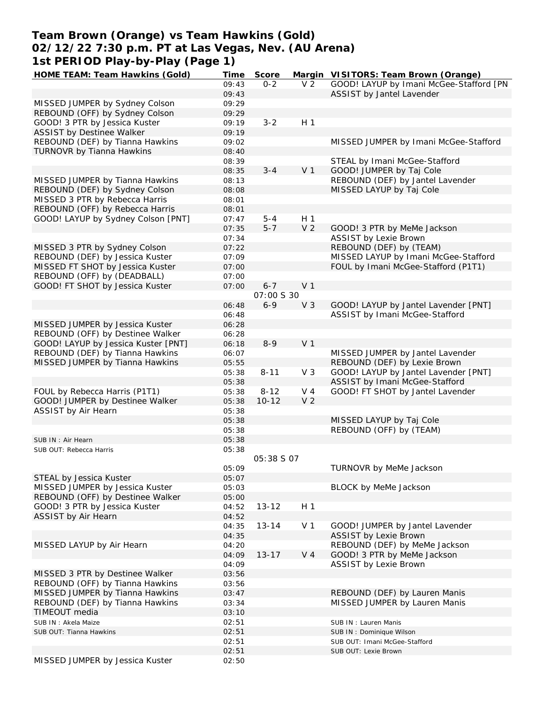# **Team Brown (Orange) vs Team Hawkins (Gold) 02/12/22 7:30 p.m. PT at Las Vegas, Nev. (AU Arena) 1st PERIOD Play-by-Play (Page 1)**

| HOME TEAM: Team Hawkins (Gold)      | Time  | Score             |                | Margin VISITORS: Team Brown (Orange)    |
|-------------------------------------|-------|-------------------|----------------|-----------------------------------------|
|                                     | 09:43 | $0 - 2$           | V <sub>2</sub> | GOOD! LAYUP by Imani McGee-Stafford [PN |
|                                     | 09:43 |                   |                | ASSIST by Jantel Lavender               |
| MISSED JUMPER by Sydney Colson      | 09:29 |                   |                |                                         |
| REBOUND (OFF) by Sydney Colson      | 09:29 |                   |                |                                         |
| GOOD! 3 PTR by Jessica Kuster       | 09:19 | $3 - 2$           | H <sub>1</sub> |                                         |
| <b>ASSIST by Destinee Walker</b>    | 09:19 |                   |                |                                         |
|                                     |       |                   |                |                                         |
| REBOUND (DEF) by Tianna Hawkins     | 09:02 |                   |                | MISSED JUMPER by Imani McGee-Stafford   |
| TURNOVR by Tianna Hawkins           | 08:40 |                   |                |                                         |
|                                     | 08:39 |                   |                | STEAL by Imani McGee-Stafford           |
|                                     | 08:35 | $3 - 4$           | V <sub>1</sub> | GOOD! JUMPER by Taj Cole                |
| MISSED JUMPER by Tianna Hawkins     | 08:13 |                   |                | REBOUND (DEF) by Jantel Lavender        |
| REBOUND (DEF) by Sydney Colson      | 08:08 |                   |                | MISSED LAYUP by Taj Cole                |
| MISSED 3 PTR by Rebecca Harris      | 08:01 |                   |                |                                         |
| REBOUND (OFF) by Rebecca Harris     | 08:01 |                   |                |                                         |
| GOOD! LAYUP by Sydney Colson [PNT]  | 07:47 | $5 - 4$           | H <sub>1</sub> |                                         |
|                                     |       |                   |                |                                         |
|                                     | 07:35 | $5 - 7$           | V <sub>2</sub> | GOOD! 3 PTR by MeMe Jackson             |
|                                     | 07:34 |                   |                | ASSIST by Lexie Brown                   |
| MISSED 3 PTR by Sydney Colson       | 07:22 |                   |                | REBOUND (DEF) by (TEAM)                 |
| REBOUND (DEF) by Jessica Kuster     | 07:09 |                   |                | MISSED LAYUP by Imani McGee-Stafford    |
| MISSED FT SHOT by Jessica Kuster    | 07:00 |                   |                | FOUL by Imani McGee-Stafford (P1T1)     |
| REBOUND (OFF) by (DEADBALL)         | 07:00 |                   |                |                                         |
| GOOD! FT SHOT by Jessica Kuster     | 07:00 | $6 - 7$           | V <sub>1</sub> |                                         |
|                                     |       | 07:00 S 30        |                |                                         |
|                                     |       |                   |                |                                         |
|                                     | 06:48 | $6 - 9$           | V <sub>3</sub> | GOOD! LAYUP by Jantel Lavender [PNT]    |
|                                     | 06:48 |                   |                | ASSIST by Imani McGee-Stafford          |
| MISSED JUMPER by Jessica Kuster     | 06:28 |                   |                |                                         |
| REBOUND (OFF) by Destinee Walker    | 06:28 |                   |                |                                         |
| GOOD! LAYUP by Jessica Kuster [PNT] | 06:18 | $8 - 9$           | V <sub>1</sub> |                                         |
| REBOUND (DEF) by Tianna Hawkins     | 06:07 |                   |                | MISSED JUMPER by Jantel Lavender        |
| MISSED JUMPER by Tianna Hawkins     | 05:55 |                   |                | REBOUND (DEF) by Lexie Brown            |
|                                     | 05:38 | $8 - 11$          | V <sub>3</sub> | GOOD! LAYUP by Jantel Lavender [PNT]    |
|                                     |       |                   |                | ASSIST by Imani McGee-Stafford          |
|                                     | 05:38 |                   |                |                                         |
| FOUL by Rebecca Harris (P1T1)       | 05:38 | $8 - 12$          | V <sub>4</sub> | GOOD! FT SHOT by Jantel Lavender        |
| GOOD! JUMPER by Destinee Walker     | 05:38 | $10 - 12$         | V <sub>2</sub> |                                         |
| ASSIST by Air Hearn                 | 05:38 |                   |                |                                         |
|                                     | 05:38 |                   |                | MISSED LAYUP by Taj Cole                |
|                                     | 05:38 |                   |                | REBOUND (OFF) by (TEAM)                 |
| SUB IN: Air Hearn                   | 05:38 |                   |                |                                         |
| SUB OUT: Rebecca Harris             | 05:38 |                   |                |                                         |
|                                     |       | <i>05:38 S 07</i> |                |                                         |
|                                     | 05:09 |                   |                |                                         |
|                                     |       |                   |                | TURNOVR by MeMe Jackson                 |
| STEAL by Jessica Kuster             | 05:07 |                   |                |                                         |
| MISSED JUMPER by Jessica Kuster     | 05:03 |                   |                | BLOCK by MeMe Jackson                   |
| REBOUND (OFF) by Destinee Walker    | 05:00 |                   |                |                                         |
| GOOD! 3 PTR by Jessica Kuster       | 04:52 | $13 - 12$         | H <sub>1</sub> |                                         |
| ASSIST by Air Hearn                 | 04:52 |                   |                |                                         |
|                                     | 04:35 | $13 - 14$         | V <sub>1</sub> | GOOD! JUMPER by Jantel Lavender         |
|                                     | 04:35 |                   |                | <b>ASSIST by Lexie Brown</b>            |
| MISSED LAYUP by Air Hearn           | 04:20 |                   |                | REBOUND (DEF) by MeMe Jackson           |
|                                     | 04:09 | $13 - 17$         | V <sub>4</sub> | GOOD! 3 PTR by MeMe Jackson             |
|                                     |       |                   |                |                                         |
|                                     | 04:09 |                   |                | <b>ASSIST by Lexie Brown</b>            |
| MISSED 3 PTR by Destinee Walker     | 03:56 |                   |                |                                         |
| REBOUND (OFF) by Tianna Hawkins     | 03:56 |                   |                |                                         |
| MISSED JUMPER by Tianna Hawkins     | 03:47 |                   |                | REBOUND (DEF) by Lauren Manis           |
| REBOUND (DEF) by Tianna Hawkins     | 03:34 |                   |                | MISSED JUMPER by Lauren Manis           |
| TIMEOUT media                       | 03:10 |                   |                |                                         |
| SUB IN: Akela Maize                 | 02:51 |                   |                | SUB IN: Lauren Manis                    |
| SUB OUT: Tianna Hawkins             | 02:51 |                   |                | SUB IN: Dominique Wilson                |
|                                     |       |                   |                |                                         |
|                                     | 02:51 |                   |                | SUB OUT: Imani McGee-Stafford           |
|                                     | 02:51 |                   |                | SUB OUT: Lexie Brown                    |
| MISSED JUMPER by Jessica Kuster     | 02:50 |                   |                |                                         |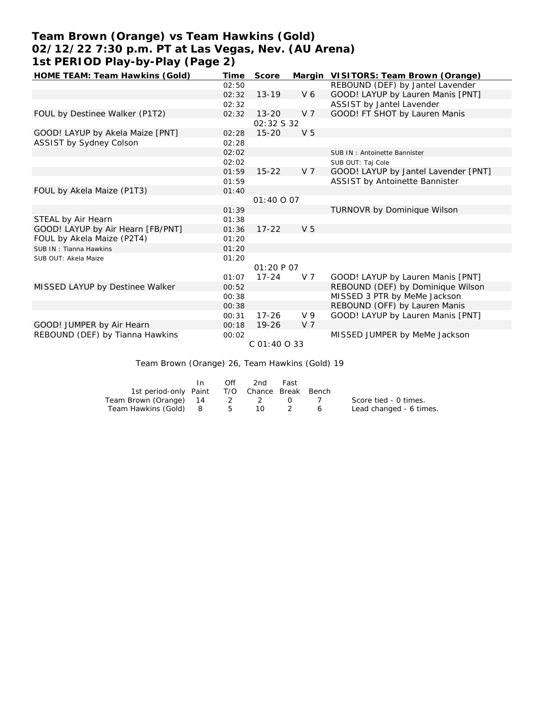# **Team Brown (Orange) vs Team Hawkins (Gold) 02/12/22 7:30 p.m. PT at Las Vegas, Nev. (AU Arena) 1st PERIOD Play-by-Play (Page 2)**

| HOME TEAM: Team Hawkins (Gold)    | Time  | Score             |                | Margin VISITORS: Team Brown (Orange) |
|-----------------------------------|-------|-------------------|----------------|--------------------------------------|
|                                   | 02:50 |                   |                | REBOUND (DEF) by Jantel Lavender     |
|                                   | 02:32 | $13 - 19$         | V6             | GOOD! LAYUP by Lauren Manis [PNT]    |
|                                   | 02:32 |                   |                | ASSIST by Jantel Lavender            |
| FOUL by Destinee Walker (P1T2)    | 02:32 | $13 - 20$         | V <sub>7</sub> | GOOD! FT SHOT by Lauren Manis        |
|                                   |       | 02:32 S 32        |                |                                      |
| GOOD! LAYUP by Akela Maize [PNT]  | 02:28 | $15 - 20$         | V <sub>5</sub> |                                      |
| ASSIST by Sydney Colson           | 02:28 |                   |                |                                      |
|                                   | 02:02 |                   |                | SUB IN: Antoinette Bannister         |
|                                   | 02:02 |                   |                | SUB OUT: Taj Cole                    |
|                                   | 01:59 | $15 - 22$         | V <sub>7</sub> | GOOD! LAYUP by Jantel Lavender [PNT] |
|                                   | 01:59 |                   |                | ASSIST by Antoinette Bannister       |
| FOUL by Akela Maize (P1T3)        | 01:40 |                   |                |                                      |
|                                   |       | 01:40 0 07        |                |                                      |
|                                   | 01:39 |                   |                | TURNOVR by Dominique Wilson          |
| STEAL by Air Hearn                | 01:38 |                   |                |                                      |
| GOOD! LAYUP by Air Hearn [FB/PNT] | 01:36 | $17 - 22$         | V <sub>5</sub> |                                      |
| FOUL by Akela Maize (P2T4)        | 01:20 |                   |                |                                      |
| SUB IN: Tianna Hawkins            | 01:20 |                   |                |                                      |
| SUB OUT: Akela Maize              | 01:20 |                   |                |                                      |
|                                   |       | <i>01:20 P 07</i> |                |                                      |
|                                   | 01:07 | $17 - 24$         | V 7            | GOOD! LAYUP by Lauren Manis [PNT]    |
| MISSED LAYUP by Destinee Walker   | 00:52 |                   |                | REBOUND (DEF) by Dominique Wilson    |
|                                   | 00:38 |                   |                | MISSED 3 PTR by MeMe Jackson         |
|                                   | 00:38 |                   |                | REBOUND (OFF) by Lauren Manis        |
|                                   | 00:31 | $17 - 26$         | V <sub>9</sub> | GOOD! LAYUP by Lauren Manis [PNT]    |
| GOOD! JUMPER by Air Hearn         | 00:18 | $19 - 26$         | V <sub>7</sub> |                                      |
| REBOUND (DEF) by Tianna Hawkins   | 00:02 |                   |                | MISSED JUMPER by MeMe Jackson        |
|                                   |       | C 01:40 O 33      |                |                                      |
|                                   |       |                   |                |                                      |

Team Brown (Orange) 26, Team Hawkins (Gold) 19

|                                              | In. | Off | 2nd | Fast                                            |            |                         |
|----------------------------------------------|-----|-----|-----|-------------------------------------------------|------------|-------------------------|
| 1st period-only Paint T/O Chance Break Bench |     |     |     |                                                 |            |                         |
| Team Brown (Orange) 14                       |     |     | 2 2 | $\left( \begin{array}{ccc} \end{array} \right)$ | $\sqrt{1}$ | Score tied - 0 times.   |
| Team Hawkins (Gold) 8                        |     | 5   | 10  |                                                 |            | Lead changed - 6 times. |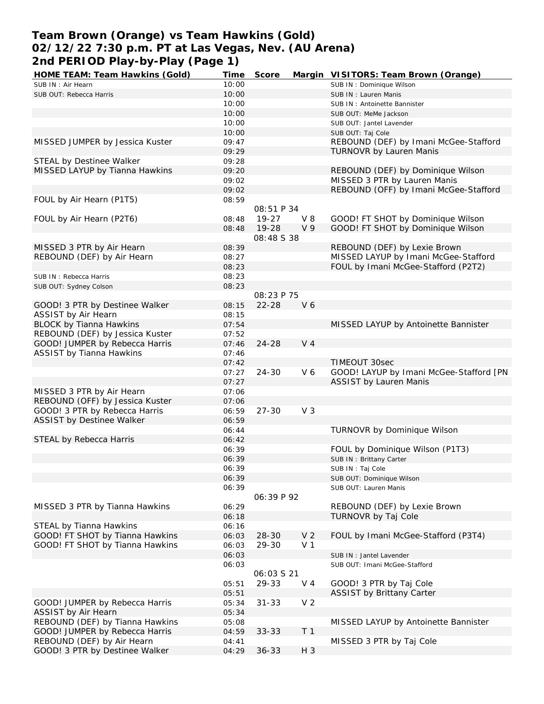# **Team Brown (Orange) vs Team Hawkins (Gold) 02/12/22 7:30 p.m. PT at Las Vegas, Nev. (AU Arena) 2nd PERIOD Play-by-Play (Page 1)**

| HOME TEAM: Team Hawkins (Gold)   | Time  | Score             |                | Margin VISITORS: Team Brown (Orange)    |
|----------------------------------|-------|-------------------|----------------|-----------------------------------------|
| SUB IN: Air Hearn                | 10:00 |                   |                | SUB IN: Dominique Wilson                |
| SUB OUT: Rebecca Harris          | 10:00 |                   |                | SUB IN: Lauren Manis                    |
|                                  | 10:00 |                   |                | SUB IN: Antoinette Bannister            |
|                                  | 10:00 |                   |                | SUB OUT: MeMe Jackson                   |
|                                  | 10:00 |                   |                | SUB OUT: Jantel Lavender                |
|                                  | 10:00 |                   |                | SUB OUT: Taj Cole                       |
| MISSED JUMPER by Jessica Kuster  | 09:47 |                   |                | REBOUND (DEF) by Imani McGee-Stafford   |
|                                  | 09:29 |                   |                | TURNOVR by Lauren Manis                 |
| STEAL by Destinee Walker         | 09:28 |                   |                |                                         |
| MISSED LAYUP by Tianna Hawkins   | 09:20 |                   |                | REBOUND (DEF) by Dominique Wilson       |
|                                  | 09:02 |                   |                | MISSED 3 PTR by Lauren Manis            |
|                                  | 09:02 |                   |                | REBOUND (OFF) by Imani McGee-Stafford   |
| FOUL by Air Hearn (P1T5)         | 08:59 |                   |                |                                         |
|                                  |       | 08:51 P 34        |                |                                         |
| FOUL by Air Hearn (P2T6)         | 08:48 | $19 - 27$         | $V_8$          | GOOD! FT SHOT by Dominique Wilson       |
|                                  |       | 19-28             | V <sub>9</sub> |                                         |
|                                  | 08:48 |                   |                | GOOD! FT SHOT by Dominique Wilson       |
|                                  |       | 08:48 S 38        |                |                                         |
| MISSED 3 PTR by Air Hearn        | 08:39 |                   |                | REBOUND (DEF) by Lexie Brown            |
| REBOUND (DEF) by Air Hearn       | 08:27 |                   |                | MISSED LAYUP by Imani McGee-Stafford    |
|                                  | 08:23 |                   |                | FOUL by Imani McGee-Stafford (P2T2)     |
| SUB IN: Rebecca Harris           | 08:23 |                   |                |                                         |
| SUB OUT: Sydney Colson           | 08:23 |                   |                |                                         |
|                                  |       | 08:23 P 75        |                |                                         |
| GOOD! 3 PTR by Destinee Walker   | 08:15 | $22 - 28$         | V6             |                                         |
| ASSIST by Air Hearn              | 08:15 |                   |                |                                         |
| <b>BLOCK by Tianna Hawkins</b>   | 07:54 |                   |                | MISSED LAYUP by Antoinette Bannister    |
| REBOUND (DEF) by Jessica Kuster  | 07:52 |                   |                |                                         |
| GOOD! JUMPER by Rebecca Harris   | 07:46 | 24-28             | V <sub>4</sub> |                                         |
| <b>ASSIST by Tianna Hawkins</b>  | 07:46 |                   |                |                                         |
|                                  | 07:42 |                   |                | TIMEOUT 30sec                           |
|                                  | 07:27 | $24 - 30$         | V6             | GOOD! LAYUP by Imani McGee-Stafford [PN |
|                                  | 07:27 |                   |                | <b>ASSIST by Lauren Manis</b>           |
| MISSED 3 PTR by Air Hearn        | 07:06 |                   |                |                                         |
| REBOUND (OFF) by Jessica Kuster  | 07:06 |                   |                |                                         |
| GOOD! 3 PTR by Rebecca Harris    | 06:59 | $27 - 30$         | V <sub>3</sub> |                                         |
| <b>ASSIST by Destinee Walker</b> | 06:59 |                   |                |                                         |
|                                  | 06:44 |                   |                | TURNOVR by Dominique Wilson             |
| STEAL by Rebecca Harris          | 06:42 |                   |                |                                         |
|                                  | 06:39 |                   |                | FOUL by Dominique Wilson (P1T3)         |
|                                  | 06:39 |                   |                | SUB IN: Brittany Carter                 |
|                                  | 06:39 |                   |                | SUB IN: Taj Cole                        |
|                                  | 06:39 |                   |                | SUB OUT: Dominique Wilson               |
|                                  |       |                   |                |                                         |
|                                  | 06:39 | 06:39 P 92        |                | SUB OUT: Lauren Manis                   |
|                                  |       |                   |                |                                         |
| MISSED 3 PTR by Tianna Hawkins   | 06:29 |                   |                | REBOUND (DEF) by Lexie Brown            |
|                                  | 06:18 |                   |                | TURNOVR by Taj Cole                     |
| STEAL by Tianna Hawkins          | 06:16 |                   |                |                                         |
| GOOD! FT SHOT by Tianna Hawkins  | 06:03 | 28-30             | V <sub>2</sub> | FOUL by Imani McGee-Stafford (P3T4)     |
| GOOD! FT SHOT by Tianna Hawkins  | 06:03 | 29-30             | V <sub>1</sub> |                                         |
|                                  | 06:03 |                   |                | SUB IN : Jantel Lavender                |
|                                  | 06:03 |                   |                | SUB OUT: Imani McGee-Stafford           |
|                                  |       | <i>06:03 S 21</i> |                |                                         |
|                                  | 05:51 | 29-33             | V 4            | GOOD! 3 PTR by Taj Cole                 |
|                                  | 05:51 |                   |                | <b>ASSIST by Brittany Carter</b>        |
| GOOD! JUMPER by Rebecca Harris   | 05:34 | $31 - 33$         | V <sub>2</sub> |                                         |
| ASSIST by Air Hearn              | 05:34 |                   |                |                                         |
| REBOUND (DEF) by Tianna Hawkins  | 05:08 |                   |                | MISSED LAYUP by Antoinette Bannister    |
| GOOD! JUMPER by Rebecca Harris   | 04:59 | $33 - 33$         | T <sub>1</sub> |                                         |
| REBOUND (DEF) by Air Hearn       | 04:41 |                   |                | MISSED 3 PTR by Taj Cole                |
| GOOD! 3 PTR by Destinee Walker   | 04:29 | $36 - 33$         | H 3            |                                         |
|                                  |       |                   |                |                                         |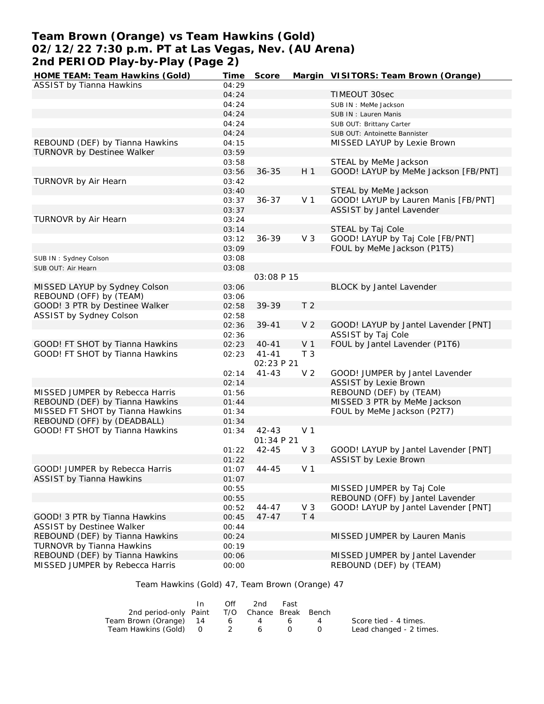# **Team Brown (Orange) vs Team Hawkins (Gold) 02/12/22 7:30 p.m. PT at Las Vegas, Nev. (AU Arena) 2nd PERIOD Play-by-Play (Page 2)**

| HOME TEAM: Team Hawkins (Gold)   | Time  | Score      |                | Margin VISITORS: Team Brown (Orange) |
|----------------------------------|-------|------------|----------------|--------------------------------------|
| ASSIST by Tianna Hawkins         | 04:29 |            |                |                                      |
|                                  | 04:24 |            |                | TIMEOUT 30sec                        |
|                                  | 04:24 |            |                | SUB IN : MeMe Jackson                |
|                                  | 04:24 |            |                | SUB IN: Lauren Manis                 |
|                                  | 04:24 |            |                | SUB OUT: Brittany Carter             |
|                                  | 04:24 |            |                | SUB OUT: Antoinette Bannister        |
| REBOUND (DEF) by Tianna Hawkins  | 04:15 |            |                | MISSED LAYUP by Lexie Brown          |
| TURNOVR by Destinee Walker       | 03:59 |            |                |                                      |
|                                  | 03:58 |            |                | STEAL by MeMe Jackson                |
|                                  | 03:56 | $36 - 35$  | H <sub>1</sub> | GOOD! LAYUP by MeMe Jackson [FB/PNT] |
| TURNOVR by Air Hearn             | 03:42 |            |                |                                      |
|                                  | 03:40 |            |                | STEAL by MeMe Jackson                |
|                                  |       | $36 - 37$  | V <sub>1</sub> | GOOD! LAYUP by Lauren Manis [FB/PNT] |
|                                  | 03:37 |            |                | ASSIST by Jantel Lavender            |
|                                  | 03:37 |            |                |                                      |
| TURNOVR by Air Hearn             | 03:24 |            |                |                                      |
|                                  | 03:14 |            |                | STEAL by Taj Cole                    |
|                                  | 03:12 | $36 - 39$  | V <sub>3</sub> | GOOD! LAYUP by Taj Cole [FB/PNT]     |
|                                  | 03:09 |            |                | FOUL by MeMe Jackson (P1T5)          |
| SUB IN: Sydney Colson            | 03:08 |            |                |                                      |
| SUB OUT: Air Hearn               | 03:08 |            |                |                                      |
|                                  |       | 03:08 P 15 |                |                                      |
| MISSED LAYUP by Sydney Colson    | 03:06 |            |                | BLOCK by Jantel Lavender             |
| REBOUND (OFF) by (TEAM)          | 03:06 |            |                |                                      |
| GOOD! 3 PTR by Destinee Walker   | 02:58 | 39-39      | T <sub>2</sub> |                                      |
| ASSIST by Sydney Colson          | 02:58 |            |                |                                      |
|                                  | 02:36 | $39 - 41$  | V <sub>2</sub> | GOOD! LAYUP by Jantel Lavender [PNT] |
|                                  | 02:36 |            |                | ASSIST by Taj Cole                   |
| GOOD! FT SHOT by Tianna Hawkins  | 02:23 | $40 - 41$  | V <sub>1</sub> | FOUL by Jantel Lavender (P1T6)       |
| GOOD! FT SHOT by Tianna Hawkins  | 02:23 | $41 - 41$  | T <sub>3</sub> |                                      |
|                                  |       | 02:23 P 21 |                |                                      |
|                                  | 02:14 | $41 - 43$  | V <sub>2</sub> | GOOD! JUMPER by Jantel Lavender      |
|                                  | 02:14 |            |                | <b>ASSIST by Lexie Brown</b>         |
| MISSED JUMPER by Rebecca Harris  | 01:56 |            |                | REBOUND (DEF) by (TEAM)              |
| REBOUND (DEF) by Tianna Hawkins  | 01:44 |            |                | MISSED 3 PTR by MeMe Jackson         |
| MISSED FT SHOT by Tianna Hawkins | 01:34 |            |                | FOUL by MeMe Jackson (P2T7)          |
| REBOUND (OFF) by (DEADBALL)      | 01:34 |            |                |                                      |
| GOOD! FT SHOT by Tianna Hawkins  | 01:34 | $42 - 43$  | V <sub>1</sub> |                                      |
|                                  |       | 01:34 P 21 |                |                                      |
|                                  | 01:22 | $42 - 45$  | V <sub>3</sub> | GOOD! LAYUP by Jantel Lavender [PNT] |
|                                  | 01:22 |            |                |                                      |
|                                  |       |            |                | <b>ASSIST by Lexie Brown</b>         |
| GOOD! JUMPER by Rebecca Harris   | 01:07 | $44 - 45$  | V 1            |                                      |
| <b>ASSIST by Tianna Hawkins</b>  | 01:07 |            |                |                                      |
|                                  | 00:55 |            |                | MISSED JUMPER by Taj Cole            |
|                                  | 00:55 |            |                | REBOUND (OFF) by Jantel Lavender     |
|                                  | 00:52 | $44 - 47$  | V <sub>3</sub> | GOOD! LAYUP by Jantel Lavender [PNT] |
| GOOD! 3 PTR by Tianna Hawkins    | 00:45 | $47 - 47$  | T <sub>4</sub> |                                      |
| <b>ASSIST by Destinee Walker</b> | 00:44 |            |                |                                      |
| REBOUND (DEF) by Tianna Hawkins  | 00:24 |            |                | MISSED JUMPER by Lauren Manis        |
| TURNOVR by Tianna Hawkins        | 00:19 |            |                |                                      |
| REBOUND (DEF) by Tianna Hawkins  | 00:06 |            |                | MISSED JUMPER by Jantel Lavender     |
| MISSED JUMPER by Rebecca Harris  | 00:00 |            |                | REBOUND (DEF) by (TEAM)              |

Team Hawkins (Gold) 47, Team Brown (Orange) 47

|                                              | Off | 2nd | Fast             |                         |
|----------------------------------------------|-----|-----|------------------|-------------------------|
| 2nd period-only Paint T/O Chance Break Bench |     |     |                  |                         |
| Team Brown (Orange) 14                       | - 6 | 4 6 |                  | Score tied - 4 times.   |
| Team Hawkins (Gold) 0 2 6                    |     |     | $\left( \right)$ | Lead changed - 2 times. |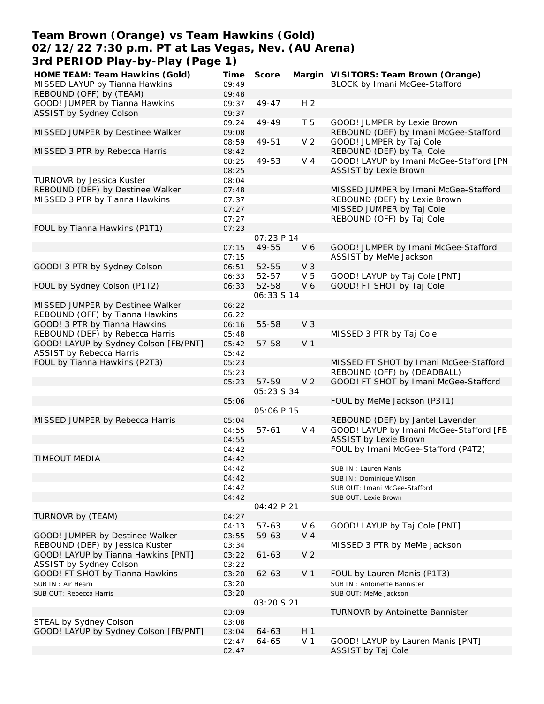## **Team Brown (Orange) vs Team Hawkins (Gold) 02/12/22 7:30 p.m. PT at Las Vegas, Nev. (AU Arena) 3rd PERIOD Play-by-Play (Page 1)**

| HOME TEAM: Team Hawkins (Gold)        | Time  | Score             |                | Margin VISITORS: Team Brown (Orange)    |
|---------------------------------------|-------|-------------------|----------------|-----------------------------------------|
| MISSED LAYUP by Tianna Hawkins        | 09:49 |                   |                | <b>BLOCK</b> by Imani McGee-Stafford    |
| REBOUND (OFF) by (TEAM)               | 09:48 |                   |                |                                         |
| GOOD! JUMPER by Tianna Hawkins        | 09:37 | 49-47             | H <sub>2</sub> |                                         |
| ASSIST by Sydney Colson               | 09:37 |                   |                |                                         |
|                                       | 09:24 | 49-49             | T 5            | GOOD! JUMPER by Lexie Brown             |
| MISSED JUMPER by Destinee Walker      | 09:08 |                   |                | REBOUND (DEF) by Imani McGee-Stafford   |
|                                       | 08:59 | 49-51             | V <sub>2</sub> | GOOD! JUMPER by Taj Cole                |
| MISSED 3 PTR by Rebecca Harris        | 08:42 |                   |                | REBOUND (DEF) by Taj Cole               |
|                                       | 08:25 | 49-53             | V <sub>4</sub> | GOOD! LAYUP by Imani McGee-Stafford [PN |
|                                       | 08:25 |                   |                | <b>ASSIST by Lexie Brown</b>            |
| TURNOVR by Jessica Kuster             |       |                   |                |                                         |
|                                       | 08:04 |                   |                |                                         |
| REBOUND (DEF) by Destinee Walker      | 07:48 |                   |                | MISSED JUMPER by Imani McGee-Stafford   |
| MISSED 3 PTR by Tianna Hawkins        | 07:37 |                   |                | REBOUND (DEF) by Lexie Brown            |
|                                       | 07:27 |                   |                | MISSED JUMPER by Taj Cole               |
|                                       | 07:27 |                   |                | REBOUND (OFF) by Taj Cole               |
| FOUL by Tianna Hawkins (P1T1)         | 07:23 |                   |                |                                         |
|                                       |       | 07:23 P 14        |                |                                         |
|                                       | 07:15 | 49-55             | V <sub>6</sub> | GOOD! JUMPER by Imani McGee-Stafford    |
|                                       | 07:15 |                   |                | ASSIST by MeMe Jackson                  |
| GOOD! 3 PTR by Sydney Colson          | 06:51 | 52-55             | V <sub>3</sub> |                                         |
|                                       | 06:33 | 52-57             | V <sub>5</sub> | GOOD! LAYUP by Taj Cole [PNT]           |
| FOUL by Sydney Colson (P1T2)          | 06:33 | 52-58             | V6             | GOOD! FT SHOT by Taj Cole               |
|                                       |       | 06:33 S 14        |                |                                         |
| MISSED JUMPER by Destinee Walker      | 06:22 |                   |                |                                         |
| REBOUND (OFF) by Tianna Hawkins       | 06:22 |                   |                |                                         |
| GOOD! 3 PTR by Tianna Hawkins         | 06:16 | 55-58             | V <sub>3</sub> |                                         |
| REBOUND (DEF) by Rebecca Harris       | 05:48 |                   |                | MISSED 3 PTR by Taj Cole                |
| GOOD! LAYUP by Sydney Colson [FB/PNT] | 05:42 | 57-58             | V <sub>1</sub> |                                         |
| <b>ASSIST by Rebecca Harris</b>       | 05:42 |                   |                |                                         |
| FOUL by Tianna Hawkins (P2T3)         | 05:23 |                   |                | MISSED FT SHOT by Imani McGee-Stafford  |
|                                       | 05:23 |                   |                | REBOUND (OFF) by (DEADBALL)             |
|                                       | 05:23 | 57-59             | V <sub>2</sub> | GOOD! FT SHOT by Imani McGee-Stafford   |
|                                       |       | <i>05:23 S 34</i> |                |                                         |
|                                       | 05:06 |                   |                | FOUL by MeMe Jackson (P3T1)             |
|                                       |       | 05:06 P 15        |                |                                         |
| MISSED JUMPER by Rebecca Harris       | 05:04 |                   |                | REBOUND (DEF) by Jantel Lavender        |
|                                       | 04:55 | $57 - 61$         | $V_4$          | GOOD! LAYUP by Imani McGee-Stafford [FB |
|                                       | 04:55 |                   |                | <b>ASSIST by Lexie Brown</b>            |
|                                       | 04:42 |                   |                | FOUL by Imani McGee-Stafford (P4T2)     |
| <b>TIMEOUT MEDIA</b>                  | 04:42 |                   |                |                                         |
|                                       |       |                   |                |                                         |
|                                       | 04:42 |                   |                | SUB IN: Lauren Manis                    |
|                                       | 04:42 |                   |                | SUB IN: Dominique Wilson                |
|                                       | 04:42 |                   |                | SUB OUT: Imani McGee-Stafford           |
|                                       | 04:42 |                   |                | SUB OUT: Lexie Brown                    |
|                                       |       | 04:42 P 21        |                |                                         |
| TURNOVR by (TEAM)                     | 04:27 |                   |                |                                         |
|                                       | 04:13 | $57 - 63$         | V6             | GOOD! LAYUP by Taj Cole [PNT]           |
| GOOD! JUMPER by Destinee Walker       | 03:55 | 59-63             | $V_4$          |                                         |
| REBOUND (DEF) by Jessica Kuster       | 03:34 |                   |                | MISSED 3 PTR by MeMe Jackson            |
| GOOD! LAYUP by Tianna Hawkins [PNT]   | 03:22 | $61 - 63$         | V <sub>2</sub> |                                         |
| ASSIST by Sydney Colson               | 03:22 |                   |                |                                         |
| GOOD! FT SHOT by Tianna Hawkins       | 03:20 | $62 - 63$         | V <sub>1</sub> | FOUL by Lauren Manis (P1T3)             |
| SUB IN: Air Hearn                     | 03:20 |                   |                | SUB IN: Antoinette Bannister            |
| SUB OUT: Rebecca Harris               | 03:20 |                   |                | SUB OUT: MeMe Jackson                   |
|                                       |       | 03:20 S 21        |                |                                         |
|                                       | 03:09 |                   |                | TURNOVR by Antoinette Bannister         |
| STEAL by Sydney Colson                | 03:08 |                   |                |                                         |
| GOOD! LAYUP by Sydney Colson [FB/PNT] | 03:04 | 64-63             | H <sub>1</sub> |                                         |
|                                       | 02:47 | 64-65             | V <sub>1</sub> | GOOD! LAYUP by Lauren Manis [PNT]       |
|                                       | 02:47 |                   |                | ASSIST by Taj Cole                      |
|                                       |       |                   |                |                                         |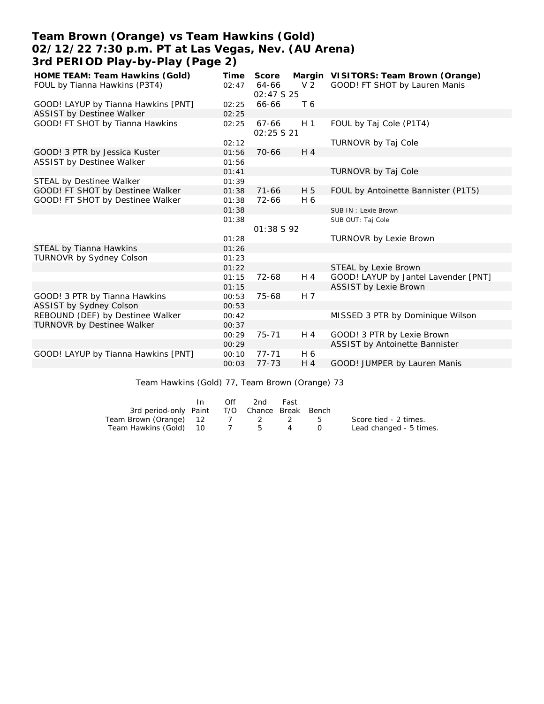# **Team Brown (Orange) vs Team Hawkins (Gold) 02/12/22 7:30 p.m. PT at Las Vegas, Nev. (AU Arena) 3rd PERIOD Play-by-Play (Page 2)**

| HOME TEAM: Team Hawkins (Gold)      | Time  | Score                |                | Margin VISITORS: Team Brown (Orange) |
|-------------------------------------|-------|----------------------|----------------|--------------------------------------|
| FOUL by Tianna Hawkins (P3T4)       | 02:47 | 64-66                | V <sub>2</sub> | GOOD! FT SHOT by Lauren Manis        |
|                                     |       | 02:47 S 25           |                |                                      |
| GOOD! LAYUP by Tianna Hawkins [PNT] | 02:25 | 66-66                | T 6            |                                      |
| ASSIST by Destinee Walker           | 02:25 |                      |                |                                      |
| GOOD! FT SHOT by Tianna Hawkins     | 02:25 | 67-66<br>02:25 \$ 21 | H <sub>1</sub> | FOUL by Taj Cole (P1T4)              |
|                                     | 02:12 |                      |                | TURNOVR by Taj Cole                  |
| GOOD! 3 PTR by Jessica Kuster       | 01:56 | $70 - 66$            | $H_4$          |                                      |
| <b>ASSIST by Destinee Walker</b>    | 01:56 |                      |                |                                      |
|                                     | 01:41 |                      |                | TURNOVR by Taj Cole                  |
| STEAL by Destinee Walker            | 01:39 |                      |                |                                      |
| GOOD! FT SHOT by Destinee Walker    | 01:38 | $71 - 66$            | H 5            | FOUL by Antoinette Bannister (P1T5)  |
| GOOD! FT SHOT by Destinee Walker    | 01:38 | 72-66                | H 6            |                                      |
|                                     | 01:38 |                      |                | SUB IN: Lexie Brown                  |
|                                     | 01:38 |                      |                | SUB OUT: Taj Cole                    |
|                                     |       | 01:38 S 92           |                |                                      |
|                                     | 01:28 |                      |                | <b>TURNOVR by Lexie Brown</b>        |
| STEAL by Tianna Hawkins             | 01:26 |                      |                |                                      |
| TURNOVR by Sydney Colson            | 01:23 |                      |                |                                      |
|                                     | 01:22 |                      |                | STEAL by Lexie Brown                 |
|                                     | 01:15 | 72-68                | H 4            | GOOD! LAYUP by Jantel Lavender [PNT] |
|                                     | 01:15 |                      |                | ASSIST by Lexie Brown                |
| GOOD! 3 PTR by Tianna Hawkins       | 00:53 | 75-68                | H 7            |                                      |
| ASSIST by Sydney Colson             | 00:53 |                      |                |                                      |
| REBOUND (DEF) by Destinee Walker    | 00:42 |                      |                | MISSED 3 PTR by Dominique Wilson     |
| <b>TURNOVR by Destinee Walker</b>   | 00:37 |                      |                |                                      |
|                                     | 00:29 | 75-71                | H 4            | GOOD! 3 PTR by Lexie Brown           |
|                                     | 00:29 |                      |                | ASSIST by Antoinette Bannister       |
| GOOD! LAYUP by Tianna Hawkins [PNT] | 00:10 | $77 - 71$            | H 6            |                                      |
|                                     | 00:03 | $77 - 73$            | $H_4$          | GOOD! JUMPER by Lauren Manis         |

Team Hawkins (Gold) 77, Team Brown (Orange) 73

|                                              | In | Off | 2nd     | Fast |                         |
|----------------------------------------------|----|-----|---------|------|-------------------------|
| 3rd period-only Paint T/O Chance Break Bench |    |     |         |      |                         |
| Team Brown (Orange) 12                       |    |     | 7 2 2 5 |      | Score tied - 2 times.   |
| Team Hawkins (Gold) 10                       |    |     | 7 5     |      | Lead changed - 5 times. |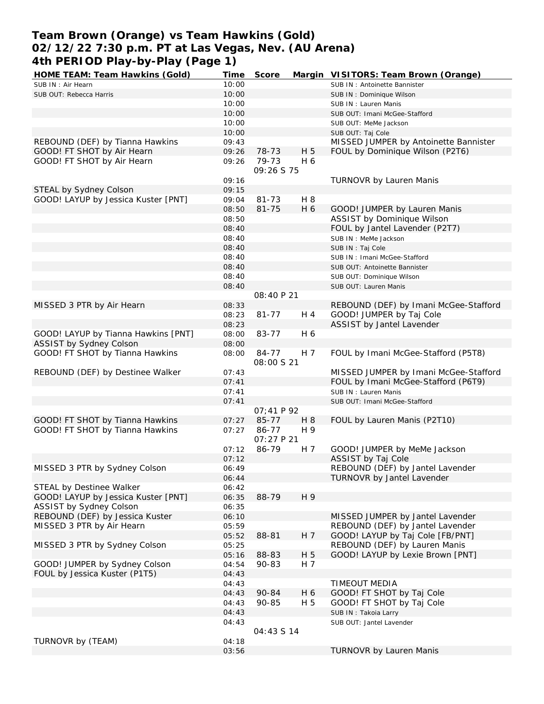# **Team Brown (Orange) vs Team Hawkins (Gold) 02/12/22 7:30 p.m. PT at Las Vegas, Nev. (AU Arena) 4th PERIOD Play-by-Play (Page 1)**<br>HOME TEAM: Team Hawkins (Gold) Time

| 401 PERTOD PIAY-DY-PIAY (PAYE T)    |       |            |                |                                       |
|-------------------------------------|-------|------------|----------------|---------------------------------------|
| HOME TEAM: Team Hawkins (Gold)      | Time  | Score      |                | Margin VISITORS: Team Brown (Orange)  |
| SUB IN: Air Hearn                   | 10:00 |            |                | SUB IN: Antoinette Bannister          |
| SUB OUT: Rebecca Harris             | 10:00 |            |                | SUB IN: Dominique Wilson              |
|                                     | 10:00 |            |                | SUB IN: Lauren Manis                  |
|                                     | 10:00 |            |                | SUB OUT: Imani McGee-Stafford         |
|                                     | 10:00 |            |                | SUB OUT: MeMe Jackson                 |
|                                     | 10:00 |            |                | SUB OUT: Taj Cole                     |
| REBOUND (DEF) by Tianna Hawkins     | 09:43 |            |                | MISSED JUMPER by Antoinette Bannister |
| GOOD! FT SHOT by Air Hearn          | 09:26 | 78-73      | H 5            | FOUL by Dominique Wilson (P2T6)       |
| GOOD! FT SHOT by Air Hearn          | 09:26 | 79-73      | H 6            |                                       |
|                                     |       | 09:26 S 75 |                |                                       |
|                                     | 09:16 |            |                | TURNOVR by Lauren Manis               |
| STEAL by Sydney Colson              | 09:15 |            |                |                                       |
| GOOD! LAYUP by Jessica Kuster [PNT] | 09:04 | $81 - 73$  | H 8            |                                       |
|                                     | 08:50 | $81 - 75$  | H 6            | GOOD! JUMPER by Lauren Manis          |
|                                     | 08:50 |            |                | ASSIST by Dominique Wilson            |
|                                     | 08:40 |            |                | FOUL by Jantel Lavender (P2T7)        |
|                                     | 08:40 |            |                | SUB IN : MeMe Jackson                 |
|                                     | 08:40 |            |                | SUB IN: Taj Cole                      |
|                                     | 08:40 |            |                | SUB IN: Imani McGee-Stafford          |
|                                     | 08:40 |            |                | SUB OUT: Antoinette Bannister         |
|                                     | 08:40 |            |                | SUB OUT: Dominique Wilson             |
|                                     | 08:40 |            |                | SUB OUT: Lauren Manis                 |
|                                     |       | 08:40 P 21 |                |                                       |
| MISSED 3 PTR by Air Hearn           | 08:33 |            |                | REBOUND (DEF) by Imani McGee-Stafford |
|                                     | 08:23 | $81 - 77$  | H 4            | GOOD! JUMPER by Taj Cole              |
|                                     | 08:23 |            |                | ASSIST by Jantel Lavender             |
| GOOD! LAYUP by Tianna Hawkins [PNT] | 08:00 | 83-77      | H 6            |                                       |
| ASSIST by Sydney Colson             | 08:00 |            |                |                                       |
| GOOD! FT SHOT by Tianna Hawkins     | 08:00 | 84-77      | H 7            | FOUL by Imani McGee-Stafford (P5T8)   |
|                                     |       | 08:00 S 21 |                |                                       |
| REBOUND (DEF) by Destinee Walker    | 07:43 |            |                | MISSED JUMPER by Imani McGee-Stafford |
|                                     | 07:41 |            |                | FOUL by Imani McGee-Stafford (P6T9)   |
|                                     | 07:41 |            |                | SUB IN: Lauren Manis                  |
|                                     | 07:41 |            |                | SUB OUT: Imani McGee-Stafford         |
|                                     |       | 07:41 P 92 |                |                                       |
| GOOD! FT SHOT by Tianna Hawkins     | 07:27 | 85-77      | H <sub>8</sub> | FOUL by Lauren Manis (P2T10)          |
| GOOD! FT SHOT by Tianna Hawkins     | 07:27 | 86-77      | H 9            |                                       |
|                                     |       | 07:27 P 21 |                |                                       |
|                                     | 07:12 | 86-79      | H 7            | GOOD! JUMPER by MeMe Jackson          |
|                                     | 07:12 |            |                | ASSIST by Taj Cole                    |
| MISSED 3 PTR by Sydney Colson       | 06:49 |            |                | REBOUND (DEF) by Jantel Lavender      |
|                                     | 06:44 |            |                | TURNOVR by Jantel Lavender            |
| STEAL by Destinee Walker            | 06:42 |            |                |                                       |
| GOOD! LAYUP by Jessica Kuster [PNT] | 06:35 | 88-79      | H 9            |                                       |
| ASSIST by Sydney Colson             | 06:35 |            |                |                                       |
| REBOUND (DEF) by Jessica Kuster     | 06:10 |            |                | MISSED JUMPER by Jantel Lavender      |
| MISSED 3 PTR by Air Hearn           | 05:59 |            |                | REBOUND (DEF) by Jantel Lavender      |
|                                     | 05:52 | 88-81      | H 7            | GOOD! LAYUP by Taj Cole [FB/PNT]      |
| MISSED 3 PTR by Sydney Colson       | 05:25 |            |                | REBOUND (DEF) by Lauren Manis         |
|                                     | 05:16 | 88-83      | H 5            | GOOD! LAYUP by Lexie Brown [PNT]      |
| GOOD! JUMPER by Sydney Colson       | 04:54 | 90-83      | H 7            |                                       |
| FOUL by Jessica Kuster (P1T5)       | 04:43 |            |                |                                       |
|                                     | 04:43 |            |                | <b>TIMEOUT MEDIA</b>                  |
|                                     | 04:43 | 90-84      | H 6            | GOOD! FT SHOT by Taj Cole             |
|                                     | 04:43 | 90-85      | H 5            | GOOD! FT SHOT by Taj Cole             |
|                                     | 04:43 |            |                | SUB IN: Takoia Larry                  |
|                                     | 04:43 |            |                | SUB OUT: Jantel Lavender              |
|                                     |       | 04:43 S 14 |                |                                       |
| TURNOVR by (TEAM)                   | 04:18 |            |                |                                       |
|                                     | 03:56 |            |                | TURNOVR by Lauren Manis               |
|                                     |       |            |                |                                       |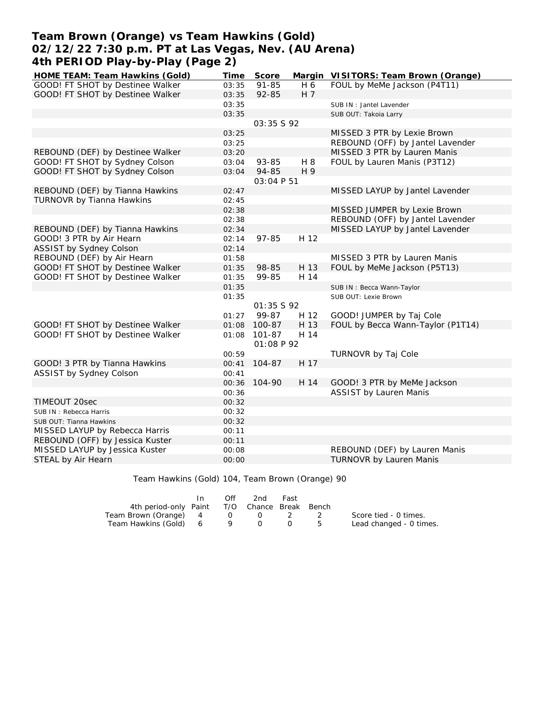# **Team Brown (Orange) vs Team Hawkins (Gold) 02/12/22 7:30 p.m. PT at Las Vegas, Nev. (AU Arena) 4th PERIOD Play-by-Play (Page 2)**

| HOME TEAM: Team Hawkins (Gold)   | Time  | Score      |      | Margin VISITORS: Team Brown (Orange) |
|----------------------------------|-------|------------|------|--------------------------------------|
| GOOD! FT SHOT by Destinee Walker | 03:35 | $91 - 85$  | H 6  | FOUL by MeMe Jackson (P4T11)         |
| GOOD! FT SHOT by Destinee Walker | 03:35 | 92-85      | H 7  |                                      |
|                                  | 03:35 |            |      | SUB IN: Jantel Lavender              |
|                                  | 03:35 |            |      | SUB OUT: Takoia Larry                |
|                                  |       | 03:35 \$92 |      |                                      |
|                                  | 03:25 |            |      | MISSED 3 PTR by Lexie Brown          |
|                                  | 03:25 |            |      | REBOUND (OFF) by Jantel Lavender     |
| REBOUND (DEF) by Destinee Walker | 03:20 |            |      | MISSED 3 PTR by Lauren Manis         |
| GOOD! FT SHOT by Sydney Colson   | 03:04 | 93-85      | H 8  | FOUL by Lauren Manis (P3T12)         |
| GOOD! FT SHOT by Sydney Colson   | 03:04 | 94-85      | H 9  |                                      |
|                                  |       | 03:04 P 51 |      |                                      |
| REBOUND (DEF) by Tianna Hawkins  | 02:47 |            |      | MISSED LAYUP by Jantel Lavender      |
| TURNOVR by Tianna Hawkins        | 02:45 |            |      |                                      |
|                                  | 02:38 |            |      | MISSED JUMPER by Lexie Brown         |
|                                  | 02:38 |            |      | REBOUND (OFF) by Jantel Lavender     |
| REBOUND (DEF) by Tianna Hawkins  | 02:34 |            |      | MISSED LAYUP by Jantel Lavender      |
| GOOD! 3 PTR by Air Hearn         | 02:14 | $97 - 85$  | H 12 |                                      |
| <b>ASSIST by Sydney Colson</b>   | 02:14 |            |      |                                      |
| REBOUND (DEF) by Air Hearn       | 01:58 |            |      | MISSED 3 PTR by Lauren Manis         |
| GOOD! FT SHOT by Destinee Walker | 01:35 | 98-85      | H 13 | FOUL by MeMe Jackson (P5T13)         |
| GOOD! FT SHOT by Destinee Walker | 01:35 | 99-85      | H 14 |                                      |
|                                  | 01:35 |            |      | SUB IN: Becca Wann-Taylor            |
|                                  | 01:35 |            |      | SUB OUT: Lexie Brown                 |
|                                  |       | 01:35 S 92 |      |                                      |
|                                  | 01:27 | 99-87      | H 12 | GOOD! JUMPER by Taj Cole             |
| GOOD! FT SHOT by Destinee Walker | 01:08 | 100-87     | H 13 | FOUL by Becca Wann-Taylor (P1T14)    |
| GOOD! FT SHOT by Destinee Walker | 01:08 | $101 - 87$ | H 14 |                                      |
|                                  |       | O1:08 P92  |      |                                      |
|                                  | 00:59 |            |      | TURNOVR by Taj Cole                  |
| GOOD! 3 PTR by Tianna Hawkins    | 00:41 | 104-87     | H 17 |                                      |
| ASSIST by Sydney Colson          | 00:41 |            |      |                                      |
|                                  | 00:36 | 104-90     | H 14 | GOOD! 3 PTR by MeMe Jackson          |
|                                  | 00:36 |            |      | <b>ASSIST by Lauren Manis</b>        |
| TIMEOUT 20sec                    | 00:32 |            |      |                                      |
| SUB IN: Rebecca Harris           | 00:32 |            |      |                                      |
| SUB OUT: Tianna Hawkins          | 00:32 |            |      |                                      |
| MISSED LAYUP by Rebecca Harris   | 00:11 |            |      |                                      |
| REBOUND (OFF) by Jessica Kuster  | 00:11 |            |      |                                      |
| MISSED LAYUP by Jessica Kuster   | 00:08 |            |      | REBOUND (DEF) by Lauren Manis        |
| STEAL by Air Hearn               | 00:00 |            |      | <b>TURNOVR by Lauren Manis</b>       |

Team Hawkins (Gold) 104, Team Brown (Orange) 90

|                                              | In | Off | 2nd | Fast             |      |                         |
|----------------------------------------------|----|-----|-----|------------------|------|-------------------------|
| 4th period-only Paint T/O Chance Break Bench |    |     |     |                  |      |                         |
| Team Brown (Orange) 4 0 0 2 2                |    |     |     |                  |      | Score tied - 0 times.   |
| Team Hawkins (Gold) 6                        |    |     | 9 0 | $\left( \right)$ | . ხ. | Lead changed - 0 times. |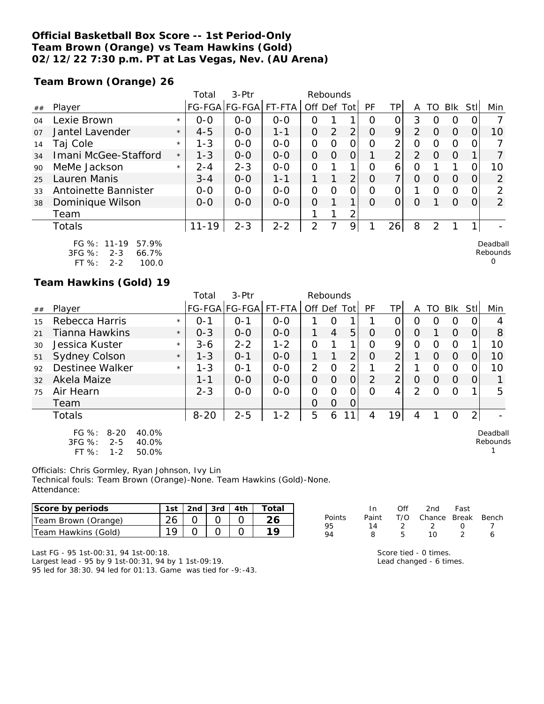#### **Official Basketball Box Score -- 1st Period-Only Team Brown (Orange) vs Team Hawkins (Gold) 02/12/22 7:30 p.m. PT at Las Vegas, Nev. (AU Arena)**

**Team Brown (Orange) 26**

|                |                                                        |         | Total     | $3-Ptr$               |         | Rebounds       |                |                |          |                |                |          |          |      |                      |
|----------------|--------------------------------------------------------|---------|-----------|-----------------------|---------|----------------|----------------|----------------|----------|----------------|----------------|----------|----------|------|----------------------|
| ##             | Player                                                 |         |           | FG-FGA FG-FGA  FT-FTA |         | Off Def Tot    |                |                | PF       | ΤP             | A              | TO       | Blk      | Stll | Min                  |
| 04             | Lexie Brown                                            | $\star$ | $0 - 0$   | $0 - 0$               | $0 - 0$ | Ο              |                |                | Ω        | 0              | 3              | ( )      | O        |      |                      |
| O <sub>7</sub> | Jantel Lavender                                        | $\star$ | $4 - 5$   | $0 - 0$               | $1 - 1$ | O              | $\overline{2}$ | $\overline{2}$ | $\Omega$ | 9              | $\mathcal{P}$  | 0        | $\Omega$ |      | 10                   |
| 14             | Taj Cole                                               | $\star$ | $1 - 3$   | $0 - 0$               | $0 - 0$ | 0              | Ω              |                | Ω        | 2              | 0              | $\Omega$ | $\Omega$ |      |                      |
| 34             | Imani McGee-Stafford                                   | $\star$ | $1 - 3$   | $0 - 0$               | $0 - 0$ | 0              | O              | Ο              |          | $\overline{2}$ | $\overline{2}$ | 0        | $\Omega$ |      |                      |
| 90             | MeMe Jackson                                           | $\star$ | $2 - 4$   | $2 - 3$               | $0 - 0$ | $\Omega$       |                | 1              | Ω        | 6              | ი              |          |          |      | 10                   |
| 25             | Lauren Manis                                           |         | $3 - 4$   | $O-O$                 | 1-1     |                |                | 2 <sub>1</sub> | Ω        | 7              | 0              | $\Omega$ | $\Omega$ |      | 2                    |
| 33             | Antoinette Bannister                                   |         | $0 - 0$   | $0 - 0$               | $0 - 0$ | O              | Ω              | ი              | Ω        | 0              |                | O        | $\Omega$ |      | 2                    |
| 38             | Dominique Wilson                                       |         | $0 - 0$   | $0 - 0$               | $O-O$   | O              |                | 1.             | 0        | 0              | O              |          | $\Omega$ |      | 2                    |
|                | Team                                                   |         |           |                       |         |                |                | $\overline{2}$ |          |                |                |          |          |      |                      |
|                | Totals                                                 |         | $11 - 19$ | $2 - 3$               | $2 - 2$ | $\overline{2}$ |                | 9              |          | 26             | 8              | 2        |          |      |                      |
|                | FG $\%$ : 11-19<br>57.9%<br>3FG %:<br>66.7%<br>$2 - 3$ |         |           |                       |         |                |                |                |          |                |                |          |          |      | Deadball<br>Rebounds |

3FG %: 2-3 66.7% FT %: 2-2 100.0

#### **Team Hawkins (Gold) 19**

|    |                                                                                          |         | Total    | $3-Ptr$       |         | Rebounds       |                |                |           |                |                  |                  |          |                  |                      |
|----|------------------------------------------------------------------------------------------|---------|----------|---------------|---------|----------------|----------------|----------------|-----------|----------------|------------------|------------------|----------|------------------|----------------------|
| ## | Player                                                                                   |         |          | FG-FGA FG-FGA | FT-FTA  | Off Def Tot    |                |                | <b>PF</b> | TP             | A                | TO               | Blk Stl  |                  | Min                  |
| 15 | Rebecca Harris                                                                           | $\star$ | $O - 1$  | O-1           | $0 - 0$ |                | Ο              |                |           |                | $\left( \right)$ | $\left( \right)$ | O        | $\left( \right)$ |                      |
| 21 | Tianna Hawkins                                                                           | $\star$ | $0 - 3$  | $0 - 0$       | $0 - 0$ | 1              | $\overline{4}$ | 5              | $\Omega$  | $\Omega$       | $\Omega$         |                  | $\Omega$ | $\Omega$         | 8                    |
| 30 | Jessica Kuster                                                                           | $\star$ | $3 - 6$  | $2 - 2$       | $1 - 2$ | $\overline{O}$ |                | ◀              | Ο         | 9              | 0                | O                | O        |                  | 10                   |
| 51 | Sydney Colson                                                                            | $\star$ | $1 - 3$  | $O - 1$       | $0 - 0$ | 1              |                | 2              | O         | $\overline{2}$ |                  | $\Omega$         | $\Omega$ | O                | 10                   |
| 92 | Destinee Walker                                                                          | $\star$ | $1 - 3$  | $0 - 1$       | $0 - 0$ | 2              | $\circ$        | 2              |           | っ              |                  | $\Omega$         | $\Omega$ | $\Omega$         | 10                   |
| 32 | Akela Maize                                                                              |         | $1 - 1$  | $0 - 0$       | $0 - 0$ | $\overline{O}$ | $\Omega$       | $\overline{O}$ | 2         | $\overline{2}$ | $\Omega$         | $\Omega$         | $\Omega$ | 0                |                      |
| 75 | Air Hearn                                                                                |         | $2 - 3$  | $O-O$         | $O-O$   | $\Omega$       | $\Omega$       | 0              | ∩         | 4              | $\mathcal{P}$    | ∩                | $\Omega$ |                  | 5                    |
|    | Team                                                                                     |         |          |               |         | O              | $\Omega$       | $\overline{O}$ |           |                |                  |                  |          |                  |                      |
|    | Totals                                                                                   |         | $8 - 20$ | $2 - 5$       | $1 - 2$ | 5              | 6              |                | 4         | 19             | 4                |                  | O        | 2 <sub>1</sub>   |                      |
|    | FG $%$ :<br>$8 - 20$<br>40.0%<br>3FG %:<br>$2 - 5$<br>40.0%<br>FT %:<br>$1 - 2$<br>50.0% |         |          |               |         |                |                |                |           |                |                  |                  |          |                  | Deadball<br>Rebounds |

Officials: Chris Gormley, Ryan Johnson, Ivy Lin Technical fouls: Team Brown (Orange)-None. Team Hawkins (Gold)-None. Attendance:

| Score by periods    | 1st | 2nd $3rd$ $4th$ | Total |
|---------------------|-----|-----------------|-------|
| Team Brown (Orange) |     |                 |       |
| Team Hawkins (Gold) |     |                 |       |

|        | In.   | ∩ff | 2nd                    | Fast             |  |
|--------|-------|-----|------------------------|------------------|--|
| Points | Paint |     | T/O Chance Break Bench |                  |  |
| 95     | 14    |     | - 2                    | $\left( \right)$ |  |
| 94     | R     | Ҕ   | 10                     | -2               |  |

0

Last FG - 95 1st-00:31, 94 1st-00:18.

Largest lead - 95 by 9 1st-00:31, 94 by 1 1st-09:19. 95 led for 38:30. 94 led for 01:13. Game was tied for -9:-43.

| Score tied - 0 times.   |
|-------------------------|
| Lead changed - 6 times. |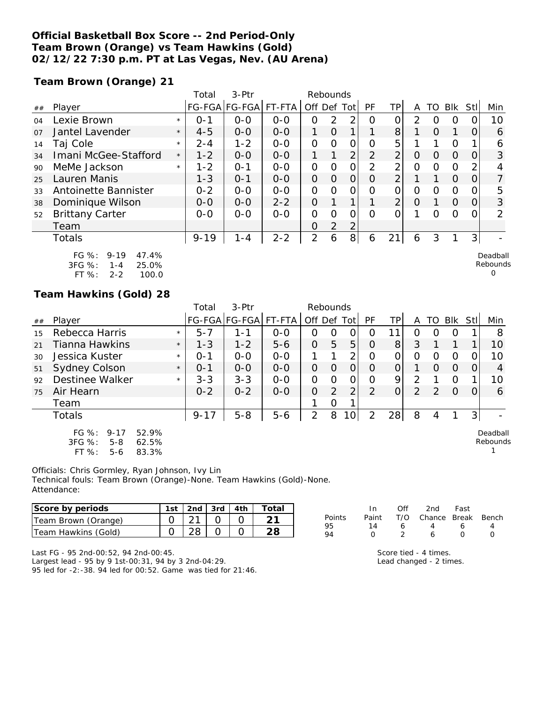## **Official Basketball Box Score -- 2nd Period-Only Team Brown (Orange) vs Team Hawkins (Gold) 02/12/22 7:30 p.m. PT at Las Vegas, Nev. (AU Arena)**

**Team Brown (Orange) 21**

|    |                                                                                             |         | Total    | $3-$ Ptr      |         | Rebounds       |                |                |                |                |                |          |          |          |                           |
|----|---------------------------------------------------------------------------------------------|---------|----------|---------------|---------|----------------|----------------|----------------|----------------|----------------|----------------|----------|----------|----------|---------------------------|
| ## | Player                                                                                      |         |          | FG-FGA FG-FGA | FT-FTA  | Off Def Tot    |                |                | PF             | ΤP             | A              | TO       | Blk      | Stll     | Min                       |
| 04 | Lexie Brown                                                                                 | $\star$ | $O - 1$  | $0 - 0$       | $0 - 0$ | 0              | 2              | $\overline{2}$ | Ω              | 0              | $\overline{2}$ | O        | 0        |          | 10                        |
| 07 | Jantel Lavender                                                                             | $\star$ | $4 - 5$  | $0 - 0$       | $0-0$   | 1              | $\overline{O}$ |                |                | 8              |                | $\Omega$ | 1        | $\Omega$ | 6                         |
| 14 | Taj Cole                                                                                    | $\star$ | $2 - 4$  | $1 - 2$       | $0-0$   | 0              | $\Omega$       | Ω              | Ω              | 5              |                |          | $\Omega$ |          | 6                         |
| 34 | Imani McGee-Stafford                                                                        | $\star$ | $1 - 2$  | $0-0$         | $O - O$ | $\mathbf 1$    | 1              | $\overline{2}$ | $\overline{2}$ | $\overline{2}$ | $\Omega$       | $\Omega$ | $\Omega$ | 0        | 3                         |
| 90 | MeMe Jackson                                                                                | $\star$ | $1 - 2$  | $O - 1$       | $0-0$   | 0              | $\Omega$       | $\Omega$       | 2              | 2              | 0              | $\Omega$ | $\Omega$ |          | 4                         |
| 25 | Lauren Manis                                                                                |         | $1 - 3$  | $O - 1$       | $O - O$ | 0              | $\Omega$       | $\Omega$       | $\Omega$       | $\overline{2}$ |                |          | $\Omega$ | 0        |                           |
| 33 | Antoinette Bannister                                                                        |         | $0 - 2$  | $0 - 0$       | $0 - 0$ | 0              | $\Omega$       | ი              | Ω              | $\Omega$       | $\Omega$       | $\Omega$ | $\Omega$ |          | 5                         |
| 38 | Dominique Wilson                                                                            |         | $0-0$    | $0-0$         | $2 - 2$ | 0              |                | 1              |                | $\overline{2}$ | 0              |          | $\Omega$ | 0        | 3                         |
| 52 | <b>Brittany Carter</b>                                                                      |         | $0 - 0$  | $0-0$         | $0 - 0$ | 0              | $\Omega$       |                | Ω              | Ω              |                | O        | 0        |          | 2                         |
|    | Team                                                                                        |         |          |               |         | 0              | 2              | 2              |                |                |                |          |          |          |                           |
|    | Totals                                                                                      |         | $9 - 19$ | $1 - 4$       | $2 - 2$ | $\overline{2}$ | 6              | 8 <sup>1</sup> | 6              | 21             | 6              | 3        |          | 3        |                           |
|    | $FG \%$ :<br>$9 - 19$<br>47.4%<br>3FG %:<br>25.0%<br>$1 - 4$<br>$FT$ %:<br>100.0<br>$2 - 2$ |         |          |               |         |                |                |                |                |                |                |          |          |          | Deadball<br>Rebounds<br>0 |

#### **Team Hawkins (Gold) 28**

|    |                                                                                         |         | Total    | 3-Ptr         |         | Rebounds    |          |                 |               |          |   |               |          |      |                      |
|----|-----------------------------------------------------------------------------------------|---------|----------|---------------|---------|-------------|----------|-----------------|---------------|----------|---|---------------|----------|------|----------------------|
| ## | Player                                                                                  |         |          | FG-FGA FG-FGA | FT-FTA  | Off Def Tot |          |                 | PF            | ΤP       | A | TO            | Blk      | Stll | Min                  |
| 15 | Rebecca Harris                                                                          | $\star$ | $5 - 7$  | 1-1           | $0 - 0$ | O           | O        | 0               | 0             |          | O | 0             | O        |      | 8                    |
| 21 | Tianna Hawkins                                                                          | $\star$ | $1 - 3$  | $1 - 2$       | $5 - 6$ | 0           | 5        | 5               | O             | 8        | 3 |               |          |      | 10                   |
| 30 | Jessica Kuster                                                                          | $\star$ | $O - 1$  | $O-O$         | $0 - 0$ |             |          | $\overline{2}$  | Ω             | 0        | O | 0             | Ω        |      | 10                   |
| 51 | <b>Sydney Colson</b>                                                                    | $\star$ | $0 - 1$  | $0 - 0$       | $0 - 0$ | 0           | O        | $\Omega$        | O             | 0        |   | O             | $\Omega$ | 0    | 4                    |
| 92 | Destinee Walker                                                                         | $\star$ | $3 - 3$  | $3 - 3$       | $0 - 0$ | 0           | $\Omega$ | 0               | Ω             | 9        | 2 |               | O        |      | 10                   |
| 75 | Air Hearn                                                                               |         | $0 - 2$  | $0 - 2$       | $0 - 0$ | $\Omega$    | 2        | $\overline{2}$  | $\mathcal{P}$ | $\Omega$ | 2 | $\mathcal{D}$ | $\Omega$ | O    | 6                    |
|    | Team                                                                                    |         |          |               |         |             | O        |                 |               |          |   |               |          |      |                      |
|    | Totals                                                                                  |         | $9 - 17$ | $5 - 8$       | $5 - 6$ | 2           | 8        | 10 <sup>1</sup> | 2             | 28       | 8 |               |          | 3    |                      |
|    | $FG \%$ :<br>52.9%<br>$9 - 17$<br>3FG %:<br>62.5%<br>$5 - 8$<br>FT %:<br>83.3%<br>$5-6$ |         |          |               |         |             |          |                 |               |          |   |               |          |      | Deadball<br>Rebounds |

Officials: Chris Gormley, Ryan Johnson, Ivy Lin Technical fouls: Team Brown (Orange)-None. Team Hawkins (Gold)-None. Attendance:

| Score by periods    | 1st | 2nd $\sqrt{3}$ rd $\sqrt{4}$ th | Total |
|---------------------|-----|---------------------------------|-------|
| Team Brown (Orange) |     |                                 |       |
| Team Hawkins (Gold) |     |                                 |       |

|        | In.          | ∩ff | 2nd                    | Fast   |   |
|--------|--------------|-----|------------------------|--------|---|
| Points | Paint        |     | T/O Chance Break Bench |        |   |
| 95     | 14           | 6   | 4                      | 6      | Δ |
| QΔ     | $\mathbf{I}$ |     | 6                      | $\cap$ | O |
|        |              |     |                        |        |   |

Last FG - 95 2nd-00:52, 94 2nd-00:45.

Largest lead - 95 by 9 1st-00:31, 94 by 3 2nd-04:29. 95 led for -2:-38. 94 led for 00:52. Game was tied for 21:46.

| Score tied - 4 times.   |
|-------------------------|
| Lead changed - 2 times. |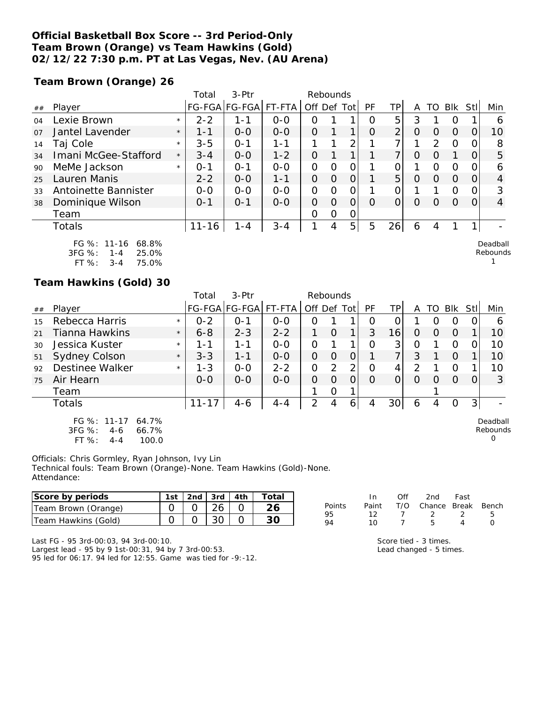#### **Official Basketball Box Score -- 3rd Period-Only Team Brown (Orange) vs Team Hawkins (Gold) 02/12/22 7:30 p.m. PT at Las Vegas, Nev. (AU Arena)**

**Team Brown (Orange) 26**

|    |                      |         | Total     | $3-$ Ptr      |         | Rebounds       |          |                |          |          |                |               |            |          |                |
|----|----------------------|---------|-----------|---------------|---------|----------------|----------|----------------|----------|----------|----------------|---------------|------------|----------|----------------|
| ## | Player               |         |           | FG-FGA FG-FGA | FT-FTA  | Off Def Tot    |          |                | PF       | TP       | Α              | TO            | <b>BIK</b> | Stll     | Min            |
| 04 | Lexie Brown          | $\star$ | $2 - 2$   | 1 - 1         | $0 - 0$ | O              |          |                | O        | 5        | 3              |               | O          |          | 6              |
| 07 | Jantel Lavender      | $\star$ | $1 - 1$   | $0 - 0$       | $0 - 0$ | $\Omega$       |          |                | $\Omega$ | 2        | $\overline{O}$ | 0             | $\Omega$   | O        | 10             |
| 14 | Taj Cole             | $\star$ | $3 - 5$   | $0 - 1$       | 1-1     |                |          | 2              |          |          |                | $\mathcal{P}$ | $\Omega$   | $\Omega$ | 8              |
| 34 | Imani McGee-Stafford | $\star$ | $3 - 4$   | $0 - 0$       | $1 - 2$ | $\Omega$       |          |                |          | 7        | 0              | O             |            | $\Omega$ | 5              |
| 90 | MeMe Jackson         | $\star$ | $O - 1$   | $O - 1$       | $0 - 0$ | 0              | $\circ$  | 0              |          |          |                | $\Omega$      | $\Omega$   | O        | 6              |
| 25 | Lauren Manis         |         | $2 - 2$   | $0 - 0$       | $1 - 1$ | $\overline{O}$ | $\Omega$ | $\Omega$       |          | 5        | $\Omega$       | $\Omega$      | $\Omega$   | $\Omega$ | $\overline{4}$ |
| 33 | Antoinette Bannister |         | $0 - 0$   | $0 - 0$       | $0 - 0$ | 0              | $\Omega$ | $\overline{O}$ |          | O        |                |               | $\Omega$   | $\Omega$ | 3              |
| 38 | Dominique Wilson     |         | $0 - 1$   | $O - 1$       | $0 - 0$ | $\Omega$       | $\Omega$ | $\Omega$       | $\Omega$ | $\Omega$ | 0              | $\Omega$      | $\Omega$   | $\Omega$ | $\overline{4}$ |
|    | Team                 |         |           |               |         | $\Omega$       | $\Omega$ | $\Omega$       |          |          |                |               |            |          |                |
|    | Totals               |         | $11 - 16$ | $1 - 4$       | $3 - 4$ |                | 4        | 5              | 5        | 26       | 6              |               |            |          |                |
|    | FG %: 11-16 68.8%    |         |           |               |         |                |          |                |          |          |                |               |            |          | Deadball       |

3FG %: 1-4 25.0% FT %: 3-4 75.0%

#### **Team Hawkins (Gold) 30**

|    |                                                                             |         | Total     | $3-$ Ptr      |         | Rebounds       |                |            |                  |     |   |                  |            |                |                           |
|----|-----------------------------------------------------------------------------|---------|-----------|---------------|---------|----------------|----------------|------------|------------------|-----|---|------------------|------------|----------------|---------------------------|
| ## | Player                                                                      |         |           | FG-FGA FG-FGA | FT-FTA  | Off Def Tot    |                |            | <b>PF</b>        | TP. | A | TO               | <b>Blk</b> | Stll           | Min                       |
| 15 | Rebecca Harris                                                              | $\star$ | $0 - 2$   | $O - 1$       | $0 - 0$ | O              |                |            | $\left( \right)$ |     |   | ( )              | 0          |                | 6                         |
| 21 | Tianna Hawkins                                                              | $\star$ | $6 - 8$   | $2 - 3$       | $2 - 2$ |                | $\Omega$       | 1          | 3                | 16  | 0 | $\Omega$         | $\Omega$   |                | 10                        |
| 30 | Jessica Kuster                                                              | $\star$ | 1-1       | 1 - 1         | $0 - 0$ | $\overline{O}$ |                | 1          | 0                | 3   | Ο |                  | O          |                | 10                        |
| 51 | <b>Sydney Colson</b>                                                        | $\star$ | $3 - 3$   | $1 - 1$       | $0 - 0$ | $\Omega$       | $\Omega$       | 0          |                  | 7   | 3 |                  | O          |                | 10                        |
| 92 | Destinee Walker                                                             | $\star$ | $1 - 3$   | $0 - 0$       | $2 - 2$ | O              | $\overline{2}$ | 2          | Ω                | 4   | 2 |                  | O          |                | 10                        |
| 75 | Air Hearn                                                                   |         | $0 - 0$   | $0 - 0$       | $0 - 0$ | $\overline{O}$ | $\Omega$       | 0          | O                | 0   | Ω | $\left( \right)$ | $\Omega$   |                | 3                         |
|    | Team                                                                        |         |           |               |         |                | 0              | 1          |                  |     |   |                  |            |                |                           |
|    | Totals                                                                      |         | $11 - 17$ | $4 - 6$       | $4 - 4$ | 2              | 4              | $\epsilon$ | 4                | 30  | 6 | 4                | O          | 3 <sup>1</sup> |                           |
|    | FG %: 11-17<br>64.7%<br>3FG %:<br>66.7%<br>$4-6$<br>FT%<br>100.0<br>$4 - 4$ |         |           |               |         |                |                |            |                  |     |   |                  |            |                | Deadball<br>Rebounds<br>O |

Officials: Chris Gormley, Ryan Johnson, Ivy Lin Technical fouls: Team Brown (Orange)-None. Team Hawkins (Gold)-None. Attendance:

| Score by periods    | ∣st | 2nd | 3rd | 4th | Total |        |       |     | 2nd    | Fast  |       |
|---------------------|-----|-----|-----|-----|-------|--------|-------|-----|--------|-------|-------|
| Team Brown (Orange) |     |     |     |     |       | Points | Paint | T/O | Chance | Break | Bench |
| Team Hawkins (Gold) |     |     | JU  |     | 30    |        |       |     |        |       |       |

Last FG - 95 3rd-00:03, 94 3rd-00:10.

Largest lead - 95 by 9 1st-00:31, 94 by 7 3rd-00:53.

95 led for 06:17. 94 led for 12:55. Game was tied for -9:-12.

| ганн | 17 U | CHRING DIGAN DEI |   |
|------|------|------------------|---|
| 12   |      |                  | Ë |
| 10   |      | h                |   |
|      |      |                  |   |

Score tied - 3 times. Lead changed - 5 times. Rebounds 1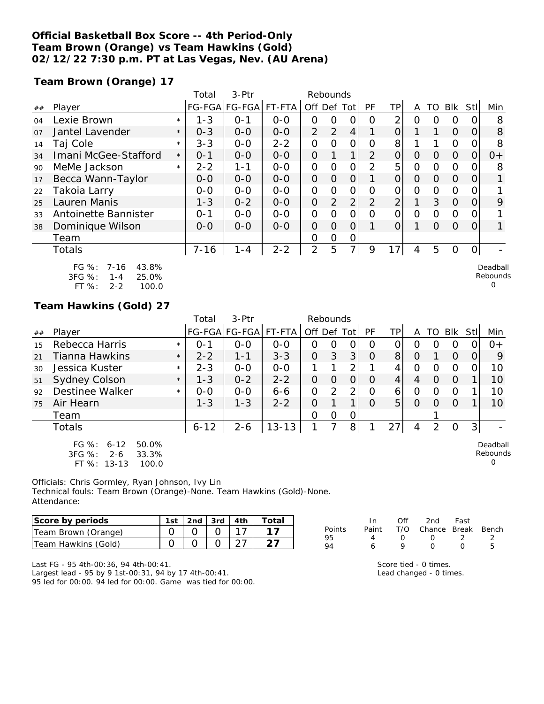#### **Official Basketball Box Score -- 4th Period-Only Team Brown (Orange) vs Team Hawkins (Gold) 02/12/22 7:30 p.m. PT at Las Vegas, Nev. (AU Arena)**

**Team Brown (Orange) 17**

|    |                                                                                         |         | Total    | 3-Ptr         |         | Rebounds       |                |                |                |                |                |          |               |                  |                                  |
|----|-----------------------------------------------------------------------------------------|---------|----------|---------------|---------|----------------|----------------|----------------|----------------|----------------|----------------|----------|---------------|------------------|----------------------------------|
| ## | Player                                                                                  |         |          | FG-FGA FG-FGA | FT-FTA  | Off Def Tot    |                |                | PF             | ΤP             | A              | TO       | Blk           | <b>Stll</b>      | Min                              |
| 04 | Lexie Brown                                                                             | $\star$ | $1 - 3$  | $0 - 1$       | $0 - 0$ | 0              | 0              | Ω              | Ο              | $\overline{2}$ | 0              | 0        | 0             |                  | 8                                |
| 07 | Jantel Lavender                                                                         | $\star$ | $0 - 3$  | $0 - 0$       | $0-0$   | $\overline{2}$ | 2              | 4              |                | $\overline{O}$ |                |          | $\Omega$      | 0                | 8                                |
| 14 | Taj Cole                                                                                | $\star$ | $3 - 3$  | $0 - 0$       | $2 - 2$ | 0              | Ω              | Ο              | Ω              | 8              |                |          | $\Omega$      |                  | 8                                |
| 34 | Imani McGee-Stafford                                                                    | $\star$ | $0 - 1$  | $0 - 0$       | $O - O$ | $\overline{O}$ | 1              | $\mathbf 1$    | $\overline{2}$ | $\overline{O}$ | 0              | $\Omega$ | $\Omega$      | O                | $O+$                             |
| 90 | MeMe Jackson                                                                            | $\star$ | $2 - 2$  | $1 - 1$       | $0-0$   | 0              | $\Omega$       | 0              | 2              | 5              | 0              | 0        | $\Omega$      | $\left($         | 8                                |
| 17 | Becca Wann-Taylor                                                                       |         | $0 - 0$  | $0-0$         | $O - O$ | $\overline{O}$ | $\overline{O}$ | 0              |                | $\overline{O}$ | $\Omega$       | $\Omega$ | $\Omega$      | 0                |                                  |
| 22 | Takoia Larry                                                                            |         | $O-O$    | $O-O$         | $0-0$   | 0              | O              | $\overline{O}$ | O              | $\overline{O}$ | $\Omega$       | $\Omega$ | $\mathcal{O}$ | 0                |                                  |
| 25 | Lauren Manis                                                                            |         | $1 - 3$  | $0 - 2$       | $O-O$   | $\overline{O}$ | 2              | 2 <sub>1</sub> | $\overline{2}$ | $\overline{2}$ | 1              | 3        | $\Omega$      | O                | 9                                |
| 33 | Antoinette Bannister                                                                    |         | $0 - 1$  | $0-0$         | $0-0$   | 0              | O              | 0              | $\Omega$       | 0              | $\overline{O}$ | 0        | $\Omega$      | $\left( \right)$ |                                  |
| 38 | Dominique Wilson                                                                        |         | $O-O$    | $0 - 0$       | $O - O$ | 0              | $\Omega$       | O              |                | $\Omega$       | 1              | $\Omega$ | $\Omega$      | 0                |                                  |
|    | Team                                                                                    |         |          |               |         | 0              | Ο              | Ο              |                |                |                |          |               |                  |                                  |
|    | <b>Totals</b>                                                                           |         | $7 - 16$ | $1 - 4$       | $2 - 2$ | 2              | 5              | $\overline{7}$ | 9              | 17             | 4              | 5        | $\Omega$      | O                |                                  |
|    | 43.8%<br>$FG \%$ :<br>7-16<br>$3FG \%$<br>25.0%<br>$1 - 4$<br>FT %:<br>$2 - 2$<br>100.0 |         |          |               |         |                |                |                |                |                |                |          |               |                  | Deadball<br>Rebounds<br>$\Omega$ |

## **Team Hawkins (Gold) 27**

|    |                                                                                      |         | Total    | 3-Ptr         |           | Rebounds       |          |                |          |                |         |    |          |     |                           |
|----|--------------------------------------------------------------------------------------|---------|----------|---------------|-----------|----------------|----------|----------------|----------|----------------|---------|----|----------|-----|---------------------------|
| ## | Player                                                                               |         |          | FG-FGA FG-FGA | FT-FTA    | Off Def Tot    |          |                | PF       | TP.            | A       | TO | Blk      | Stl | Min                       |
| 15 | Rebecca Harris                                                                       | $\star$ | $O - 1$  | $0 - 0$       | $0 - 0$   | O              | 0        | 0              | Ο        |                | 0       | O  | O        |     | $O +$                     |
| 21 | Tianna Hawkins                                                                       | $\star$ | $2 - 2$  | $1 - 1$       | $3 - 3$   | $\overline{O}$ | 3        | 3              | O        | 8 <sup>1</sup> | $\circ$ |    | $\Omega$ | Ο   | 9                         |
| 30 | Jessica Kuster                                                                       | $\star$ | $2 - 3$  | $0 - 0$       | $0 - 0$   |                |          | 2              |          | 4              | 0       | Ω  | 0        | O   | 10                        |
| 51 | <b>Sydney Colson</b>                                                                 | $\star$ | $1 - 3$  | $0 - 2$       | $2 - 2$   | 0              | $\Omega$ | 0              | $\Omega$ | 4              | 4       | Ω  | $\Omega$ |     | 10                        |
| 92 | Destinee Walker                                                                      | $\star$ | $0 - 0$  | $0 - 0$       | $6 - 6$   | $\overline{O}$ | 2        | $\overline{2}$ | $\Omega$ | 6              | Ο       | Ω  | $\Omega$ |     | 10                        |
| 75 | Air Hearn                                                                            |         | $1 - 3$  | $1 - 3$       | $2 - 2$   | 0              |          | 1              | $\Omega$ | 5              | O       | Ω  | $\Omega$ |     | 10                        |
|    | Team                                                                                 |         |          |               |           | O              | 0        | 0              |          |                |         |    |          |     |                           |
|    | Totals                                                                               |         | $6 - 12$ | $2 - 6$       | $13 - 13$ |                |          | 8              |          | 27             | 4       | 2  | $\Omega$ | 3   |                           |
|    | $FG \%$ :<br>$6 - 12$<br>50.0%<br>3FG %:<br>33.3%<br>$2 - 6$<br>FT %: 13-13<br>100.0 |         |          |               |           |                |          |                |          |                |         |    |          |     | Deadball<br>Rebounds<br>0 |

Officials: Chris Gormley, Ryan Johnson, Ivy Lin Technical fouls: Team Brown (Orange)-None. Team Hawkins (Gold)-None. Attendance:

| Score by periods    | 1st $\lfloor 2nd \rfloor$ 3rd $\lfloor 4th \rfloor$ |  | Total |
|---------------------|-----------------------------------------------------|--|-------|
| Team Brown (Orange) |                                                     |  |       |
| Team Hawkins (Gold) |                                                     |  |       |

|        | In. | Off              | 2nd                          | Fast             |    |
|--------|-----|------------------|------------------------------|------------------|----|
| Points |     |                  | Paint T/O Chance Break Bench |                  |    |
| 95     |     | $\left( \right)$ | $\sqrt{2}$                   | - 2              | 2  |
| 94     | Ь   | Q                | $\left( \right)$             | $\left( \right)$ | Б. |
|        |     |                  |                              |                  |    |

Last FG - 95 4th-00:36, 94 4th-00:41. Largest lead - 95 by 9 1st-00:31, 94 by 17 4th-00:41.

95 led for 00:00. 94 led for 00:00. Game was tied for 00:00.

Score tied - 0 times. Lead changed - 0 times.